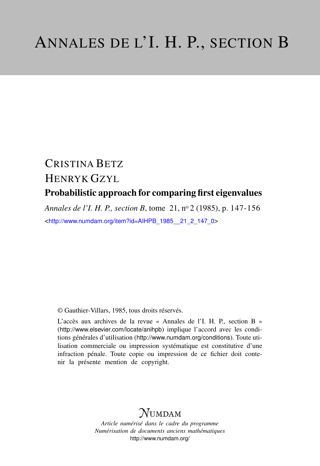# CRISTINA BETZ HENRYK GZYL Probabilistic approach for comparing first eigenvalues

*Annales de l'I. H. P., section B*, tome 21, n<sup>o</sup> 2 (1985), p. 147-156 <[http://www.numdam.org/item?id=AIHPB\\_1985\\_\\_21\\_2\\_147\\_0](http://www.numdam.org/item?id=AIHPB_1985__21_2_147_0)>

© Gauthier-Villars, 1985, tous droits réservés.

L'accès aux archives de la revue « Annales de l'I. H. P., section B » (<http://www.elsevier.com/locate/anihpb>) implique l'accord avec les conditions générales d'utilisation (<http://www.numdam.org/conditions>). Toute utilisation commerciale ou impression systématique est constitutive d'une infraction pénale. Toute copie ou impression de ce fichier doit contenir la présente mention de copyright.

# $N$ UMDAM

*Article numérisé dans le cadre du programme Numérisation de documents anciens mathématiques* <http://www.numdam.org/>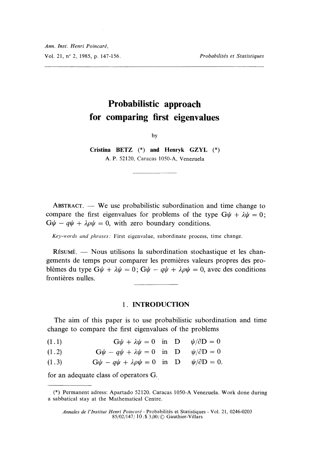# Probabilistic approach for comparing first eigenvalues

by

Cristina BETZ (\*) and Henryk GZYL (\*) A. P. 52120, Caracas 1050-A, Venezuela

 $ABSTRACT. - We use probabilistic subordination and time change to$ compare the first eigenvalues for problems of the type  $G\psi + \lambda \psi = 0$ ;  $G\psi - q\psi + \lambda \rho \psi = 0$ , with zero boundary conditions.

Key-words and phrases: First eigenvalue, subordinate process, time change.

RESUME. - Nous utilisons la subordination stochastique et les changements de temps pour comparer les premières valeurs propres des problèmes du type  $G\psi + \lambda \psi = 0$ ;  $G\psi - q\psi + \lambda \rho \psi = 0$ , avec des conditions frontières nulles.

# 1. INTRODUCTION

The aim of this paper is to use probabilistic subordination and time change to compare the first eigenvalues of the problems

 $G\psi + \lambda \psi = 0$  in D  $\psi/\partial D = 0$  $(1.1)$ 

- $G\psi q\psi + \lambda \psi = 0$  in D  $\psi/\partial D = 0$  $(1.2)$
- $(1.3)$  $G\psi - q\psi + \lambda \rho \psi = 0$  in D  $\psi/\partial D = 0$ .

for an adequate class of operators G.

<sup>(\*)</sup> Permanent adress: Apartado 52120. Caracas 1050-A Venezuela. Work done during a sabbatical stay at the Mathematical Centre.

Annales de I'Institut Henri Poincaré - Probabilités et Statistiques - Vol. 21 \_ 0246-0203 85/02/147/ 10/S 3.00j~.c~ Gauthier-Villars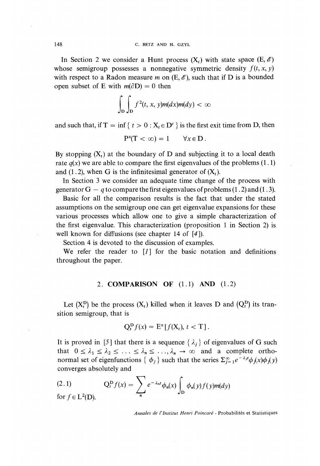In Section 2 we consider a Hunt process  $(X_t)$  with state space  $(E, \mathscr{E})$ whose semigroup possesses a nonnegative symmetric density  $f(t, x, y)$ with respect to a Radon measure m on  $(E, \mathscr{E})$ , such that if D is a bounded open subset of E with  $m(\partial D) = 0$  then

$$
\int_{D} \int_{D} f^{2}(t, x, y) m(dx) m(dy) < \infty
$$

and such that, if  $T = \inf \{ t > 0 : X_t \in D^c \}$  is the first exit time from D, then

$$
P^{x}(T < \infty) = 1 \quad \forall x \in D.
$$

By stopping  $(X_t)$  at the boundary of D and subjecting it to a local death rate  $q(x)$  we are able to compare the first eigenvalues of the problems (1.1) and (1.2), when G is the infinitesimal generator of  $(X_t)$ .

In Section 3 we consider an adequate time change of the process with generator  $G - q$  to compare the first eigenvalues of problems (1.2) and (1.3).

Basic for all the comparison results is the fact that under the stated assumptions on the semigroup one can get eigenvalue expansions for these various processes which allow one to give a simple characterization of the first eigenvalue. This characterization (proposition 1 in Section 2) is well known for diffusions (see chapter 14 of [4]).

Section 4 is devoted to the discussion of examples.

We refer the reader to  $[I]$  for the basic notation and definitions throughout the paper.

## 2. COMPARISON OF  $(1.1)$  AND  $(1.2)$

Let  $(X_t^D)$  be the process  $(X_t)$  killed when it leaves D and  $(Q_t^D)$  its transition semigroup, that is

$$
Q_t^{\mathbf{D}}f(x) = \mathbf{E}^x[f(\mathbf{X}_t), t < \mathbf{T}].
$$

It is proved in [5] that there is a sequence  $\{\lambda_i\}$  of eigenvalues of G such that  $0 \leq \lambda_1 \leq \lambda_2 \leq \ldots \leq \lambda_n \leq \ldots, \lambda_n \to \infty$  and a complete orthonormal set of eigenfunctions  $\{\phi_i\}$  such that the series  $\sum_{i=1}^{\infty} e^{-\lambda_i t} \phi_i(x) \phi_i(y)$ converges absolutely and

(2.1) 
$$
Q_t^D f(x) = \sum_n e^{-\lambda_n t} \phi_n(x) \int_D \phi_n(y) f(y) m(dy)
$$
for  $f \in L^2(D)$ .

Annales de I'Institut Henri Poincaré - Probabilités et Statistiques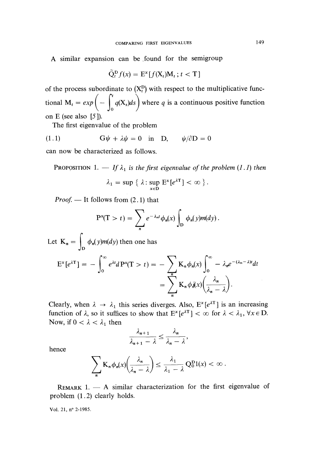A similar expansion can be found for the semigroup

$$
\tilde{Q}_t^{\text{D}} f(x) = E^x[f(X_t)M_t; t < T]
$$

of the process subordinate to  $(X_t^D)$  with respect to the multiplicative functional  $M_t = exp \left(-\int_{0}^{t} q(X_s) ds\right)$  where q is a continuous positive function on E (see also  $[5]$ ).

The first eigenvalue of the problem

(1.1) 
$$
G\psi + \lambda \psi = 0 \text{ in } D, \quad \psi/\partial D = 0
$$

can now be characterized as follows.

PROPOSITION 1. - If  $\lambda_1$  is the first eigenvalue of the problem (1.1) then

$$
\lambda_1 = \sup \{ \lambda : \sup_{x \in D} E^x[e^{\lambda T}] < \infty \}.
$$

*Proof.* — It follows from  $(2.1)$  that

$$
P^{x}(T > t) = \sum_{n} e^{-\lambda_{n}t} \phi_{n}(x) \int_{D} \phi_{n}(y) m(dy).
$$

Let  $K_n = \int_D \phi_n(y)m(dy)$  then one has<br>  $E^x[e^{\lambda T}] = -\int_0^\infty e^{\lambda t}dP^x(T > t) = -\sum_n K_n \phi_n(x) \int_0^\infty -\lambda_n e^{-(\lambda_n - \lambda)t}dt$ <br>  $= \sum_n K_n \phi_n(x) \left(\frac{\lambda_n}{\lambda_n - \lambda}\right).$ 

Clearly, when  $\lambda \rightarrow \lambda_1$  this series diverges. Also,  $E^x [e^{\lambda T}]$  is an increasing function of  $\lambda$ , so it suffices to show that  $E^x[e^{\lambda T}] < \infty$  for  $\lambda < \lambda_1$ ,  $\forall x \in D$ . Now, if  $0 < \lambda < \lambda_1$  then

$$
\frac{\lambda_{n+1}}{\lambda_{n+1}-\lambda}\leq \frac{\lambda_n}{\lambda_n-\lambda},
$$

hence

$$
\sum_{n} \mathbf{K}_{n} \phi_{n}(x) \left( \frac{\lambda_{n}}{\lambda_{n} - \lambda} \right) \leq \frac{\lambda_{1}}{\lambda_{1} - \lambda} \mathbf{Q}_{0}^{\mathbf{D}} 1(x) < \infty \, .
$$

REMARK 1.  $-$  A similar characterization for the first eigenvalue of problem (1.2) clearly holds.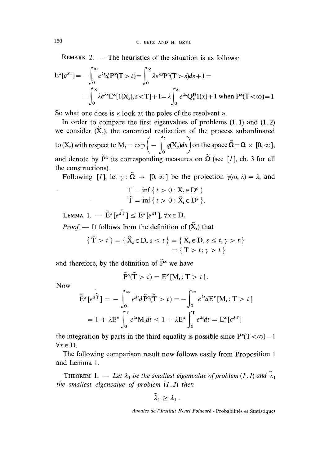REMARK 2.  $-$  The heuristics of the situation is as follows:

$$
E^{x}[e^{\lambda T}] = -\int_{0}^{\infty} e^{\lambda t} dP^{x}(T > t) = \int_{0}^{\infty} \lambda e^{\lambda s} P^{x}(T > s) ds + 1 =
$$
  
= 
$$
\int_{0}^{\infty} \lambda e^{\lambda s} E^{x}[1(X_{s}), s < T] + 1 = \lambda \int_{0}^{\infty} e^{\lambda s} Q^{D}_{s}1(x) + 1 \text{ when } P^{x}(T < \infty) = 1
$$

So what one does is « look at the poles of the resolvent ».

In order to compare the first eigenvalues of problems (1.1) and (1.2) we consider  $(\tilde{X}_t)$ , the canonical realization of the process subordinated to  $(X_t)$  with respect to  $M_t = \exp \bigg(- \int_0^t q(X_s) ds \bigg)$  on the space  $\tilde{\Omega} = \Omega \times [0, \infty]$ , and denote by  $\tilde{P}^x$  its corresponding measures on  $\tilde{\Omega}$  (see [1], ch. 3 for all the constructions).

Following [1], let  $\gamma : \tilde{\Omega} \to [0, \infty]$  be the projection  $\gamma(\omega, \lambda) = \lambda$ , and

$$
T = \inf \{ t > 0 : X_t \in D^c \}
$$
  

$$
\widetilde{T} = \inf \{ t > 0 : \widetilde{X}_t \in D^c \}.
$$

LEMMA 1.  $-\tilde{E}^x[e^{\lambda \tilde{T}}] < E^x[e^{\lambda T}]$ ,  $\forall x \in D$ .

*Proof.* — It follows from the definition of  $(\tilde{X}_t)$  that

$$
\{\widetilde{T} > t\} = \{\widetilde{X}_s \in D, s \le t\} = \{X_s \in D, s \le t, \gamma > t\}
$$

$$
= \{T > t; \gamma > t\}
$$

and therefore, by the definition of  $\tilde{P}^x$  we have

$$
\widetilde{\mathbf{P}}^{\mathbf{x}}(\widetilde{\mathbf{T}} > t) = \mathbf{E}^{\mathbf{x}}[\mathbf{M}_t; \mathbf{T} > t].
$$

Now

$$
\tilde{\mathbf{E}}^{\mathbf{x}}[e^{\lambda \tilde{\mathbf{T}}}] = -\int_0^\infty e^{\lambda t} d\tilde{\mathbf{P}}^{\mathbf{x}}(\tilde{\mathbf{T}} > t) = -\int_0^\infty e^{\lambda t} d\mathbf{E}^{\mathbf{x}}[\mathbf{M}_t; \mathbf{T} > t]
$$

$$
= 1 + \lambda \mathbf{E}^{\mathbf{x}} \int_0^\mathbf{T} e^{\lambda t} \mathbf{M}_t dt \le 1 + \lambda \mathbf{E}^{\mathbf{x}} \int_0^\mathbf{T} e^{\lambda t} dt = \mathbf{E}^{\mathbf{x}}[e^{\lambda \mathbf{T}}]
$$

the integration by parts in the third equality is possible since  $P^{x}(T < \infty) = 1$  $\forall x \in D$ .

The following comparison result now follows easily from Proposition 1 and Lemma 1.

THEOREM 1. — Let  $\lambda_1$  be the smallest eigenvalue of problem (1.1) and  $\tilde{\lambda}_1$ the smallest eigenvalue of problem  $(1.2)$  then

$$
\lambda_1\geq \lambda_1\,.
$$

Annales de l'lnstitut Henri Poincaré - Probabilités et Statistiques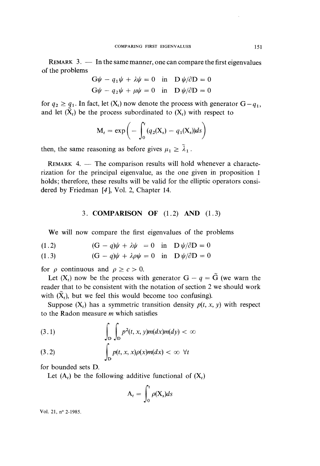REMARK  $3.$  - In the same manner, one can compare the first eigenvalues of the problems

$$
G\psi - q_1\psi + \lambda\psi = 0 \text{ in } D\psi/\partial D = 0
$$
  

$$
G\psi - q_2\psi + \mu\psi = 0 \text{ in } D\psi/\partial D = 0
$$

for  $q_2 \ge q_1$ . In fact, let  $(X_t)$  now denote the process with generator  $G - q_1$ , and let  $(\tilde{X}_t)$  be the process subordinated to  $(X_t)$  with respect to

$$
M_t = \exp\bigg(-\int_0^t (q_2(X_s) - q_1(X_s))ds\bigg)
$$

then, the same reasoning as before gives  $\mu_1 \geq \tilde{\lambda}_1$ .

 $REMARK$  4.  $-$  The comparison results will hold whenever a characterization for the principal eigenvalue, as the one given in proposition 1 holds; therefore, these results will be valid for the elliptic operators considered by Friedman  $[4]$ , Vol. 2, Chapter 14.

### 3. COMPARISON OF (1.2) AND (1.3)

We will now compare the first eigenvalues of the problems

$$
(1.2) \qquad \qquad (G - q)\psi + \lambda\psi = 0 \quad \text{in} \quad D\psi/\partial D = 0
$$

(1.3) 
$$
(G - q)\psi + \lambda \rho \psi = 0 \text{ in } D \psi / \partial D = 0
$$

for  $\rho$  continuous and  $\rho \geq c > 0$ .

Let  $(X_t)$  now be the process with generator  $G - q = \tilde{G}$  (we warn the reader that to be consistent with the notation of section 2 we should work with  $(\tilde{X}_t)$ , but we feel this would become too confusing).

Suppose  $(X_t)$  has a symmetric transition density  $p(t, x, y)$  with respect to the Radon measure  $m$  which satisfies

(3.1) 
$$
\int_{D} \int_{D} p^{2}(t, x, y) m(dx) m(dy) < \infty
$$

(3.2) 
$$
\int_{D} p(t, x, x) \rho(x) m(dx) < \infty \ \forall t
$$

for bounded sets D.

Let  $(A_t)$  be the following additive functional of  $(X_t)$ 

$$
A_t = \int_0^t \rho(X_s) ds
$$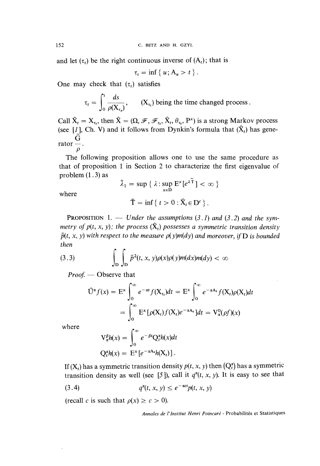and let  $(\tau_t)$  be the right continuous inverse of  $(A_t)$ ; that is

$$
t_t = \inf \{ u; A_u > t \}.
$$

One may check that  $(\tau_t)$  satisfies

$$
\tau_t = \int_0^t \frac{ds}{\rho(X_{\tau_s})}, \qquad (X_{\tau_t}) \text{ being the time changed process.}
$$

Call  $\hat{X}_t = X_t$ , then  $\hat{X} = (\Omega, \mathcal{F}, \mathcal{F}_t, \hat{X}_t, \theta_t, P^x)$  is a strong Markov process (see [1], Ch. V) and it follows from Dynkin's formula that  $(\hat{X}_t)$  has gene- $\mathrm{rator}-.$ 

 $\rho$ The following proposition allows one to use the same procedure as that of proposition 1 in Section 2 to characterize the first eigenvalue of problem  $(1.3)$  as

$$
\hat{\lambda}_1 = \sup \{ \lambda : \sup_{x \in D} E^x[e^{\lambda \widetilde{T}}] < \infty \}
$$

where

$$
\hat{\mathbf{T}} = \inf \{ t > 0 : \hat{\mathbf{X}}_t \in \mathbf{D}^c \}.
$$

**PROPOSITION** 1. - Under the assumptions  $(3.1)$  and  $(3.2)$  and the symmetry of  $p(t, x, y)$ ; the process  $(\hat{X}_t)$  possesses a symmetric transition density  $\hat{p}(t, x, y)$  with respect to the measure  $p(y)m(dy)$  and moreover, if D is bounded then

(3.3) 
$$
\int_{D} \int_{D} \hat{p}^{2}(t, x, y) \rho(x) \rho(y) m(dx) m(dy) < \infty
$$

Proof. - Observe that

$$
\hat{U}^{\alpha}f(x) = E^x \int_0^{\infty} e^{-\alpha t} f(X_{\tau_t}) dt = E^x \int_0^{\infty} e^{-\alpha A_t} f(X_t) \rho(X_t) dt
$$

$$
= \int_0^{\infty} E^x [\rho(X_t) f(X_t) e^{-\alpha A_t}] dt = V^0_{\alpha}(\rho f)(x)
$$

where

$$
\mathbf{V}_{\alpha}^{\beta}h(x) = \int_0^{\infty} e^{-\beta t} \mathbf{Q}_t^{\alpha}h(x)dt
$$

$$
\mathbf{Q}_t^{\alpha}h(x) = \mathbf{E}^x[e^{-\alpha \mathbf{A}_t}h(\mathbf{X}_t)].
$$

If (X,) has a symmetric transition density  $p(t, x, y)$  then  $(Q_t^{\alpha})$  has a symmetric transition density as well (see [5]), call it  $q^{\alpha}(t, x, y)$ . It is easy to see that

$$
(3.4) \tq^{\alpha}(t, x, y) \le e^{-\alpha ct} p(t, x, y)
$$

(recall c is such that  $\rho(x) \ge c > 0$ ).

Annales de l'Institut Henri Poincaré - Probabilités et Statistiques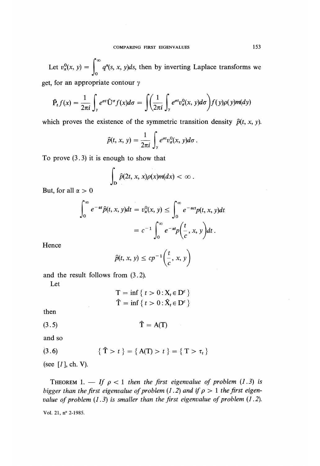Let  $v_{\alpha}^{0}(x, y) = \int_{0}^{x} q^{\alpha}(s, x, y)ds$ , then by inverting Laplace transforms we get, for an appropriate contour  $\gamma$ 

$$
\hat{P}_t f(x) = \frac{1}{2\pi i} \int_{\gamma} e^{\sigma t} \hat{U}^{\sigma} f(x) d\sigma = \int \left(\frac{1}{2\pi i} \int_{\gamma} e^{\sigma t} v_{\sigma}^0(x, y) d\sigma\right) f(y) \rho(y) m(dy)
$$

which proves the existence of the symmetric transition density  $\hat{p}(t, x, y)$ .

$$
\widehat{p}(t, x, y) = \frac{1}{2\pi i} \int_{\gamma} e^{\sigma t} v_{\sigma}^{0}(x, y) d\sigma.
$$

To prove  $(3.3)$  it is enough to show that

$$
\int_{\mathbf{D}}\widehat{p}(2t,\,x,\,x)\rho(x)m(dx)<\infty\;.
$$

But, for all  $\alpha > 0$ 

$$
\int_0^\infty e^{-\alpha t} \hat{p}(t, x, y) dt = v_\alpha^0(x, y) \le \int_0^\infty e^{-\alpha t} p(t, x, y) dt
$$

$$
= c^{-1} \int_0^\infty e^{-\alpha t} p\left(\frac{t}{c}, x, y\right) dt.
$$

Hence

$$
\widehat{p}(t, x, y) \le c p^{-1} \left( \frac{t}{c}, x, y \right)
$$

and the result follows from (3.2).

Let

$$
T = \inf \{ t > 0 : X_t \in D^c \}
$$
  

$$
\hat{T} = \inf \{ t > 0 : \hat{X}_t \in D^c \}
$$

then

$$
\hat{T} = A(T)
$$

 $\overline{a}$ 

and so

(3.6) 
$$
\{\hat{T} > t\} = \{A(T) > t\} = \{T > \tau_t\}
$$

(see  $[I]$ , ch. V).

THEOREM 1. - If  $\rho < 1$  then the first eigenvalue of problem (1.3) is bigger than the first eigenvalue of problem (1.2) and if  $\rho > 1$  the first eigenvalue of problem  $(1.3)$  is smaller than the first eigenvalue of problem  $(1.2)$ .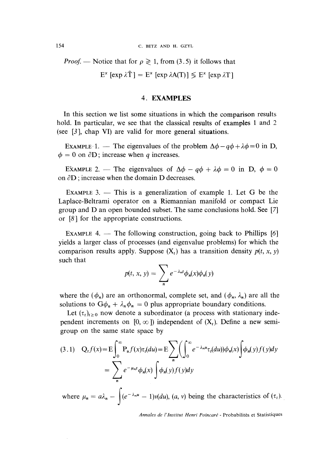*Proof.* — Notice that for  $\rho \ge 1$ , from (3.5) it follows that

 $E^x$  [exp  $\lambda \hat{T}$ ] =  $E^x$  [exp  $\lambda A(T)$ ]  $\leq E^x$  [exp  $\lambda T$ ]

#### 4. EXAMPLES

In this section we list some situations in which the comparison results hold. In particular, we see that the classical results of examples 1 and 2 (see [3 ], chap VI) are valid for more general situations.

EXAMPLE 1. — The eigenvalues of the problem  $\Delta\phi - q\phi + \lambda\phi = 0$  in D,  $\phi = 0$  on  $\partial D$ ; increase when q increases.

EXAMPLE 2. — The eigenvalues of  $\Delta \phi - q \phi + \lambda \phi = 0$  in D,  $\phi = 0$ on  $\partial$ D; increase when the domain D decreases.

EXAMPLE 3.  $-$  This is a generalization of example 1. Let G be the Laplace-Beltrami operator on a Riemannian manifold or compact Lie group and D an open bounded subset. The same conclusions hold. See [7] or  $[8]$  for the appropriate constructions.

EXAMPLE 4.  $-$  The following construction, going back to Phillips [6] yields a larger class of processes (and eigenvalue problems) for which the comparison results apply. Suppose  $(X_t)$  has a transition density  $p(t, x, y)$ such that

$$
p(t, x, y) = \sum_{n} e^{-\lambda_n t} \phi_n(x) \phi_n(y)
$$

where the  $(\phi_n)$  are an orthonormal, complete set, and  $(\phi_n, \lambda_n)$  are all the solutions to  $G\phi_n + \lambda_n \phi_n = 0$  plus appropriate boundary conditions.

Let  $(\tau_t)_{t>0}$  now denote a subordinator (a process with stationary independent increments on [0,  $\infty$  ]) independent of  $(X_t)$ . Define a new semigroup on the same state space by

$$
(3.1) \quad Q_t f(x) = E \int_0^\infty P_u f(x) \tau_t(du) = E \sum_n \left( \int_0^\infty e^{-\lambda_n u} \tau_t(du) \right) \phi_n(x) \int_0^\infty \phi_n(y) f(y) dy
$$

$$
= \sum_n e^{-\mu_n t} \phi_n(x) \int_0^\infty \phi_n(y) f(y) dy
$$

where  $\mu_n = a\lambda_n - \int (e^{-\lambda_n u} - 1)v(du)$ ,  $(a, v)$  being the characteristics of  $(\tau_t)$ .

Annales de l'Institut Henri Poincaré - Probabilités et Statistiques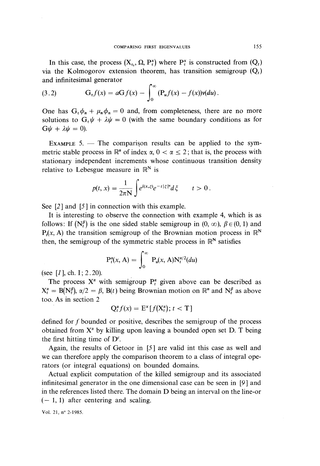In this case, the process  $(X_t, \Omega, P_t^x)$  where  $P_t^x$  is constructed from  $(Q_t)$ via the Kolmogorov extension theorem, has transition semigroup  $(Q_t)$ and infinitesimal generator

(3.2) 
$$
G_{t}f(x) = aGf(x) - \int_{0}^{\infty} (P_{u}f(x) - f(x))v(du).
$$

One has  $G_{\tau} \phi_n + \mu_n \phi_n = 0$  and, from completeness, there are no more solutions to  $G_r \psi + \lambda \psi = 0$  (with the same boundary conditions as for  $G\psi + \lambda \psi = 0$ ).

EXAMPLE  $5.$  - The comparison results can be applied to the symmetric stable process in  $\mathbb{R}^n$  of index  $\alpha$ ,  $0 < \alpha < 2$ ; that is, the process with stationary independent increments whose continuous transition density relative to Lebesgue measure in  $\mathbb{R}^N$  is

$$
p(t,x)=\frac{1}{2\pi N}\int e^{i(x,\xi)}e^{-t|\xi|^{\alpha}}d\xi \qquad t>0.
$$

See  $[2]$  and  $[5]$  in connection with this example.

It is interesting to observe the connection with example 4, which is as follows: If  $(N_t^{\beta})$  is the one sided stable semigroup in  $(0, \infty)$ ,  $\beta \in (0, 1)$  and  $P(x, A)$  the transition semigroup of the Brownian motion process in  $\mathbb{R}^N$ then, the semigroup of the symmetric stable process in  $\mathbb{R}^N$  satisfies

$$
P_t^{\alpha}(x, A) = \int_0^{\infty} P_u(x, A) N_t^{\alpha/2}(du)
$$

(see  $[I]$ , ch. I; 2.20).

The process  $X^{\alpha}$  with semigroup  $P_t^{\alpha}$  given above can be described as  $X_t^{\alpha} = B(N_t^{\beta})$ ,  $\alpha/2 = \beta$ ,  $B(t)$  being Brownian motion on  $\mathbb{R}^n$  and  $N_t^{\beta}$  as above too. As in section 2

$$
Q_t^{\alpha} f(x) = E^x[f(X_t^{\alpha}); t < T]
$$

defined for f bounded or positive, describes the semigroup of the process obtained from  $X^{\alpha}$  by killing upon leaving a bounded open set D. T being the first hitting time of  $D^c$ .

Again, the results of Getoor in [5] are valid int this case as well and we can therefore apply the comparison theorem to a class of integral operators (or integral equations) on bounded domains.

Actual explicit computation of the killed semigroup and its associated infinitesimal generator in the one dimensional case can be seen in [9 ] and in the references listed there. The domain D being an interval on the line-or  $(-1, 1)$  after centering and scaling.